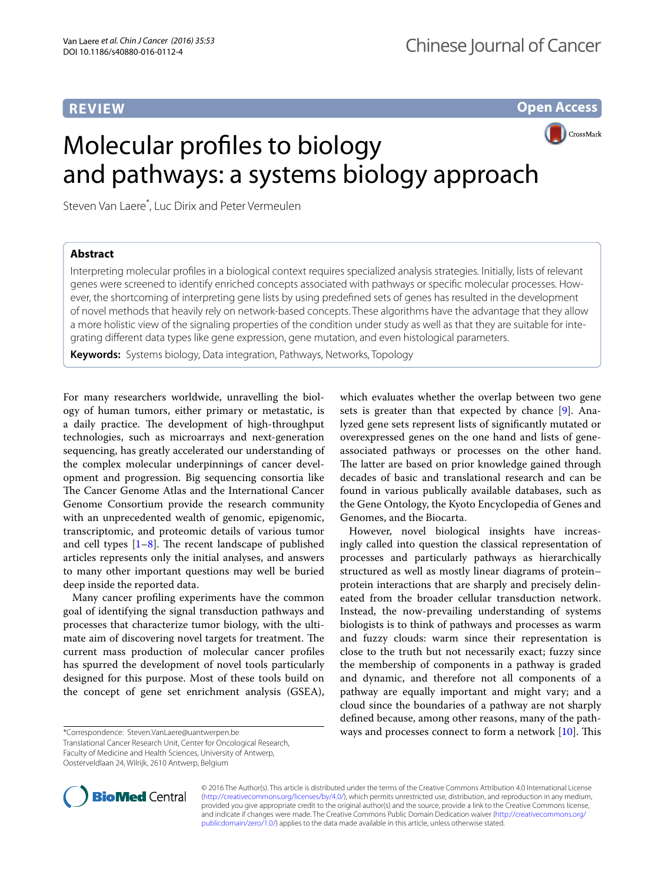# **REVIEW**

**Open Access**



# Molecular profiles to biology and pathways: a systems biology approach

Steven Van Laere\* , Luc Dirix and Peter Vermeulen

## **Abstract**

Interpreting molecular profiles in a biological context requires specialized analysis strategies. Initially, lists of relevant genes were screened to identify enriched concepts associated with pathways or specific molecular processes. However, the shortcoming of interpreting gene lists by using predefined sets of genes has resulted in the development of novel methods that heavily rely on network-based concepts. These algorithms have the advantage that they allow a more holistic view of the signaling properties of the condition under study as well as that they are suitable for integrating different data types like gene expression, gene mutation, and even histological parameters.

**Keywords:** Systems biology, Data integration, Pathways, Networks, Topology

For many researchers worldwide, unravelling the biology of human tumors, either primary or metastatic, is a daily practice. The development of high-throughput technologies, such as microarrays and next-generation sequencing, has greatly accelerated our understanding of the complex molecular underpinnings of cancer development and progression. Big sequencing consortia like The Cancer Genome Atlas and the International Cancer Genome Consortium provide the research community with an unprecedented wealth of genomic, epigenomic, transcriptomic, and proteomic details of various tumor and cell types  $[1-8]$  $[1-8]$ . The recent landscape of published articles represents only the initial analyses, and answers to many other important questions may well be buried deep inside the reported data.

Many cancer profiling experiments have the common goal of identifying the signal transduction pathways and processes that characterize tumor biology, with the ultimate aim of discovering novel targets for treatment. The current mass production of molecular cancer profiles has spurred the development of novel tools particularly designed for this purpose. Most of these tools build on the concept of gene set enrichment analysis (GSEA),

which evaluates whether the overlap between two gene sets is greater than that expected by chance [\[9](#page-2-2)]. Analyzed gene sets represent lists of significantly mutated or overexpressed genes on the one hand and lists of geneassociated pathways or processes on the other hand. The latter are based on prior knowledge gained through decades of basic and translational research and can be found in various publically available databases, such as the Gene Ontology, the Kyoto Encyclopedia of Genes and Genomes, and the Biocarta.

However, novel biological insights have increasingly called into question the classical representation of processes and particularly pathways as hierarchically structured as well as mostly linear diagrams of protein– protein interactions that are sharply and precisely delineated from the broader cellular transduction network. Instead, the now-prevailing understanding of systems biologists is to think of pathways and processes as warm and fuzzy clouds: warm since their representation is close to the truth but not necessarily exact; fuzzy since the membership of components in a pathway is graded and dynamic, and therefore not all components of a pathway are equally important and might vary; and a cloud since the boundaries of a pathway are not sharply defined because, among other reasons, many of the pathways and processes connect to form a network [\[10](#page-2-3)]. This

\*Correspondence: Steven.VanLaere@uantwerpen.be

Translational Cancer Research Unit, Center for Oncological Research, Faculty of Medicine and Health Sciences, University of Antwerp, Oosterveldlaan 24, Wilrijk, 2610 Antwerp, Belgium



© 2016 The Author(s). This article is distributed under the terms of the Creative Commons Attribution 4.0 International License [\(http://creativecommons.org/licenses/by/4.0/\)](http://creativecommons.org/licenses/by/4.0/), which permits unrestricted use, distribution, and reproduction in any medium, provided you give appropriate credit to the original author(s) and the source, provide a link to the Creative Commons license, and indicate if changes were made. The Creative Commons Public Domain Dedication waiver ([http://creativecommons.org/](http://creativecommons.org/publicdomain/zero/1.0/) [publicdomain/zero/1.0/](http://creativecommons.org/publicdomain/zero/1.0/)) applies to the data made available in this article, unless otherwise stated.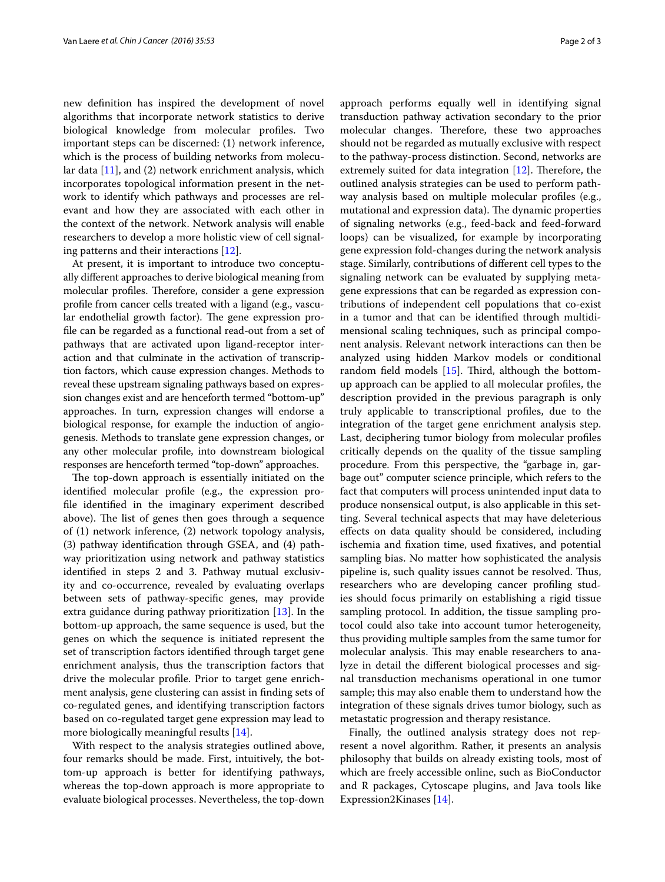new definition has inspired the development of novel algorithms that incorporate network statistics to derive biological knowledge from molecular profiles. Two important steps can be discerned: (1) network inference, which is the process of building networks from molecular data [\[11](#page-2-4)], and (2) network enrichment analysis, which incorporates topological information present in the network to identify which pathways and processes are relevant and how they are associated with each other in the context of the network. Network analysis will enable researchers to develop a more holistic view of cell signaling patterns and their interactions [\[12\]](#page-2-5).

At present, it is important to introduce two conceptually different approaches to derive biological meaning from molecular profiles. Therefore, consider a gene expression profile from cancer cells treated with a ligand (e.g., vascular endothelial growth factor). The gene expression profile can be regarded as a functional read-out from a set of pathways that are activated upon ligand-receptor interaction and that culminate in the activation of transcription factors, which cause expression changes. Methods to reveal these upstream signaling pathways based on expression changes exist and are henceforth termed "bottom-up" approaches. In turn, expression changes will endorse a biological response, for example the induction of angiogenesis. Methods to translate gene expression changes, or any other molecular profile, into downstream biological responses are henceforth termed "top-down" approaches.

The top-down approach is essentially initiated on the identified molecular profile (e.g., the expression profile identified in the imaginary experiment described above). The list of genes then goes through a sequence of (1) network inference, (2) network topology analysis, (3) pathway identification through GSEA, and (4) pathway prioritization using network and pathway statistics identified in steps 2 and 3. Pathway mutual exclusivity and co-occurrence, revealed by evaluating overlaps between sets of pathway-specific genes, may provide extra guidance during pathway prioritization [[13\]](#page-2-6). In the bottom-up approach, the same sequence is used, but the genes on which the sequence is initiated represent the set of transcription factors identified through target gene enrichment analysis, thus the transcription factors that drive the molecular profile. Prior to target gene enrichment analysis, gene clustering can assist in finding sets of co-regulated genes, and identifying transcription factors based on co-regulated target gene expression may lead to more biologically meaningful results [[14\]](#page-2-7).

With respect to the analysis strategies outlined above, four remarks should be made. First, intuitively, the bottom-up approach is better for identifying pathways, whereas the top-down approach is more appropriate to evaluate biological processes. Nevertheless, the top-down approach performs equally well in identifying signal transduction pathway activation secondary to the prior molecular changes. Therefore, these two approaches should not be regarded as mutually exclusive with respect to the pathway-process distinction. Second, networks are extremely suited for data integration [\[12](#page-2-5)]. Therefore, the outlined analysis strategies can be used to perform pathway analysis based on multiple molecular profiles (e.g., mutational and expression data). The dynamic properties of signaling networks (e.g., feed-back and feed-forward loops) can be visualized, for example by incorporating gene expression fold-changes during the network analysis stage. Similarly, contributions of different cell types to the signaling network can be evaluated by supplying metagene expressions that can be regarded as expression contributions of independent cell populations that co-exist in a tumor and that can be identified through multidimensional scaling techniques, such as principal component analysis. Relevant network interactions can then be analyzed using hidden Markov models or conditional random field models [\[15](#page-2-8)]. Third, although the bottomup approach can be applied to all molecular profiles, the description provided in the previous paragraph is only truly applicable to transcriptional profiles, due to the integration of the target gene enrichment analysis step. Last, deciphering tumor biology from molecular profiles critically depends on the quality of the tissue sampling procedure. From this perspective, the "garbage in, garbage out" computer science principle, which refers to the fact that computers will process unintended input data to produce nonsensical output, is also applicable in this setting. Several technical aspects that may have deleterious effects on data quality should be considered, including ischemia and fixation time, used fixatives, and potential sampling bias. No matter how sophisticated the analysis pipeline is, such quality issues cannot be resolved. Thus, researchers who are developing cancer profiling studies should focus primarily on establishing a rigid tissue sampling protocol. In addition, the tissue sampling protocol could also take into account tumor heterogeneity, thus providing multiple samples from the same tumor for molecular analysis. This may enable researchers to analyze in detail the different biological processes and signal transduction mechanisms operational in one tumor sample; this may also enable them to understand how the integration of these signals drives tumor biology, such as metastatic progression and therapy resistance.

Finally, the outlined analysis strategy does not represent a novel algorithm. Rather, it presents an analysis philosophy that builds on already existing tools, most of which are freely accessible online, such as BioConductor and R packages, Cytoscape plugins, and Java tools like Expression2Kinases [\[14](#page-2-7)].